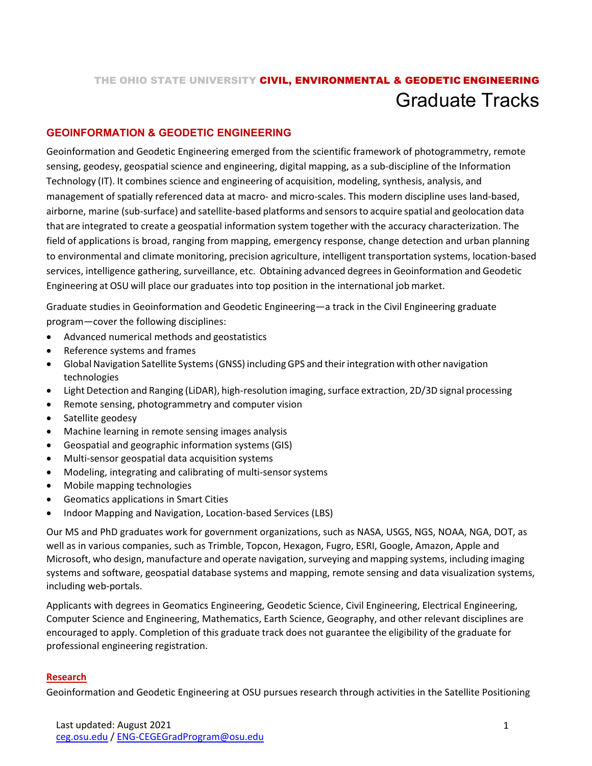# THE OHIO STATE UNIVERSITY CIVIL, ENVIRONMENTAL & GEODETIC ENGINEERING Graduate Tracks

## **GEOINFORMATION & GEODETIC ENGINEERING**

Geoinformation and Geodetic Engineering emerged from the scientific framework of photogrammetry, remote sensing, geodesy, geospatial science and engineering, digital mapping, as a sub-discipline of the Information Technology (IT). It combines science and engineering of acquisition, modeling, synthesis, analysis, and management of spatially referenced data at macro- and micro-scales. This modern discipline uses land-based, airborne, marine (sub-surface) and satellite-based platforms and sensorsto acquire spatial and geolocation data that are integrated to create a geospatial information system together with the accuracy characterization. The field of applications is broad, ranging from mapping, emergency response, change detection and urban planning to environmental and climate monitoring, precision agriculture, intelligent transportation systems, location-based services, intelligence gathering, surveillance, etc. Obtaining advanced degrees in Geoinformation and Geodetic Engineering at OSU will place our graduates into top position in the international job market.

Graduate studies in Geoinformation and Geodetic Engineering—a track in the Civil Engineering graduate program—cover the following disciplines:

- Advanced numerical methods and geostatistics
- Reference systems and frames
- Global Navigation Satellite Systems (GNSS) including GPS and their integration with other navigation technologies
- Light Detection and Ranging (LiDAR), high-resolution imaging, surface extraction, 2D/3D signal processing
- Remote sensing, photogrammetry and computer vision
- Satellite geodesy
- Machine learning in remote sensing images analysis
- Geospatial and geographic information systems (GIS)
- Multi-sensor geospatial data acquisition systems
- Modeling, integrating and calibrating of multi-sensorsystems
- Mobile mapping technologies
- Geomatics applications in Smart Cities
- Indoor Mapping and Navigation, Location-based Services (LBS)

Our MS and PhD graduates work for government organizations, such as NASA, USGS, NGS, NOAA, NGA, DOT, as well as in various companies, such as Trimble, Topcon, Hexagon, Fugro, ESRI, Google, Amazon, Apple and Microsoft, who design, manufacture and operate navigation,surveying and mapping systems, including imaging systems and software, geospatial database systems and mapping, remote sensing and data visualization systems, including web-portals.

Applicants with degrees in Geomatics Engineering, Geodetic Science, Civil Engineering, Electrical Engineering, Computer Science and Engineering, Mathematics, Earth Science, Geography, and other relevant disciplines are encouraged to apply. Completion of this graduate track does not guarantee the eligibility of the graduate for professional engineering registration.

#### **Research**

Geoinformation and Geodetic Engineering at OSU pursues research through activities in the Satellite Positioning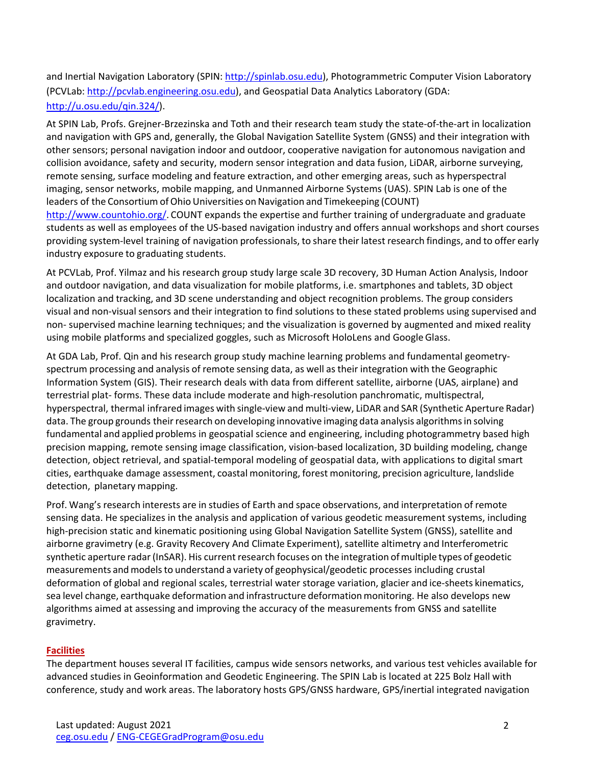and Inertial Navigation Laboratory (SPIN: [http://spinlab.osu.edu\)](http://spinlab.osu.edu/), Photogrammetric Computer Vision Laboratory (PCVLab: [http://pcvlab.engineering.osu.edu\)](http://pcvlab.engineering.osu.edu/), and Geospatial Data Analytics Laboratory (GDA: [http://u.osu.edu/qin.324/\)](http://u.osu.edu/qin.324/).

At SPIN Lab, Profs. Grejner-Brzezinska and Toth and their research team study the state-of-the-art in localization and navigation with GPS and, generally, the Global Navigation Satellite System (GNSS) and their integration with other sensors; personal navigation indoor and outdoor, cooperative navigation for autonomous navigation and collision avoidance, safety and security, modern sensor integration and data fusion, LiDAR, airborne surveying, remote sensing, surface modeling and feature extraction, and other emerging areas, such as hyperspectral imaging, sensor networks, mobile mapping, and Unmanned Airborne Systems (UAS). SPIN Lab is one of the leaders of the Consortium of Ohio Universities on Navigation and Timekeeping (COUNT) [http://www.countohio.org/.](http://www.countohio.org/) COUNT expands the expertise and further training of undergraduate and graduate

students as well as employees of the US-based navigation industry and offers annual workshops and short courses providing system-level training of navigation professionals, to share their latest research findings, and to offer early industry exposure to graduating students.

At PCVLab, Prof. Yilmaz and his research group study large scale 3D recovery, 3D Human Action Analysis, Indoor and outdoor navigation, and data visualization for mobile platforms, i.e. smartphones and tablets, 3D object localization and tracking, and 3D scene understanding and object recognition problems. The group considers visual and non-visual sensors and their integration to find solutions to these stated problems using supervised and non- supervised machine learning techniques; and the visualization is governed by augmented and mixed reality using mobile platforms and specialized goggles, such as Microsoft HoloLens and Google Glass.

At GDA Lab, Prof. Qin and his research group study machine learning problems and fundamental geometryspectrum processing and analysis of remote sensing data, as well as their integration with the Geographic Information System (GIS). Their research deals with data from different satellite, airborne (UAS, airplane) and terrestrial plat- forms. These data include moderate and high-resolution panchromatic, multispectral, hyperspectral, thermal infrared images with single-view and multi-view, LiDAR and SAR (Synthetic Aperture Radar) data. The group grounds their research on developing innovative imaging data analysis algorithms in solving fundamental and applied problems in geospatial science and engineering, including photogrammetry based high precision mapping, remote sensing image classification, vision-based localization, 3D building modeling, change detection, object retrieval, and spatial-temporal modeling of geospatial data, with applications to digital smart cities, earthquake damage assessment, coastal monitoring, forest monitoring, precision agriculture, landslide detection, planetary mapping.

Prof. Wang's research interests are in studies of Earth and space observations, and interpretation of remote sensing data. He specializes in the analysis and application of various geodetic measurement systems, including high-precision static and kinematic positioning using Global Navigation Satellite System (GNSS), satellite and airborne gravimetry (e.g. Gravity Recovery And Climate Experiment), satellite altimetry and Interferometric synthetic aperture radar (InSAR). His current research focuses on the integration of multiple types of geodetic measurements andmodelsto understand a variety of geophysical/geodetic processes including crustal deformation of global and regional scales, terrestrial water storage variation, glacier and ice-sheets kinematics, sea level change, earthquake deformation and infrastructure deformation monitoring. He also develops new algorithms aimed at assessing and improving the accuracy of the measurements from GNSS and satellite gravimetry.

### **Facilities**

The department houses several IT facilities, campus wide sensors networks, and various test vehicles available for advanced studies in Geoinformation and Geodetic Engineering. The SPIN Lab is located at 225 Bolz Hall with conference, study and work areas. The laboratory hosts GPS/GNSS hardware, GPS/inertial integrated navigation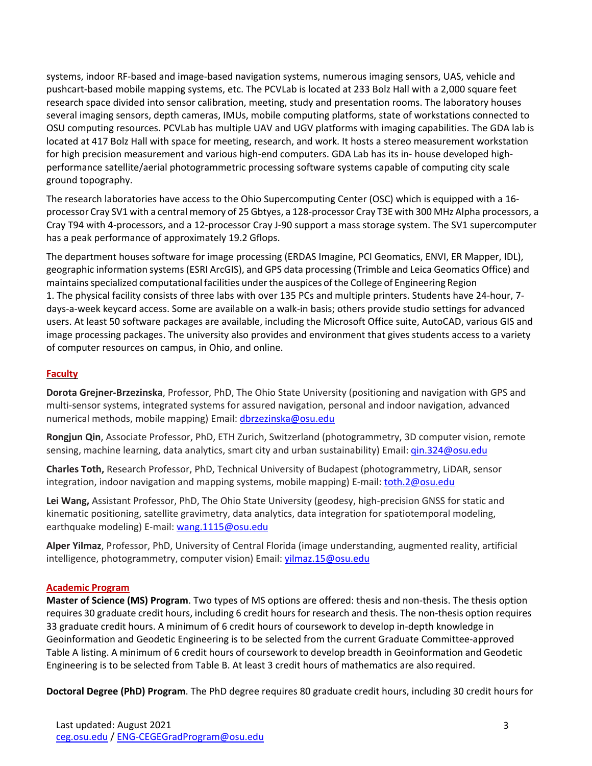systems, indoor RF-based and image-based navigation systems, numerous imaging sensors, UAS, vehicle and pushcart-based mobile mapping systems, etc. The PCVLab is located at 233 Bolz Hall with a 2,000 square feet research space divided into sensor calibration, meeting, study and presentation rooms. The laboratory houses several imaging sensors, depth cameras, IMUs, mobile computing platforms, state of workstations connected to OSU computing resources. PCVLab has multiple UAV and UGV platforms with imaging capabilities. The GDA lab is located at 417 Bolz Hall with space for meeting, research, and work. It hosts a stereo measurement workstation for high precision measurement and various high-end computers. GDA Lab has its in- house developed highperformance satellite/aerial photogrammetric processing software systems capable of computing city scale ground topography.

The research laboratories have access to the Ohio Supercomputing Center (OSC) which is equipped with a 16 processor Cray SV1 with a central memory of 25 Gbtyes, a 128-processor Cray T3E with 300 MHz Alpha processors, a Cray T94 with 4-processors, and a 12-processor Cray J-90 support a mass storage system. The SV1 supercomputer has a peak performance of approximately 19.2 Gflops.

The department houses software for image processing (ERDAS Imagine, PCI Geomatics, ENVI, ER Mapper, IDL), geographic information systems (ESRI ArcGIS), and GPS data processing (Trimble and Leica Geomatics Office) and maintainsspecialized computational facilities underthe auspices of the College of Engineering Region 1. The physical facility consists of three labs with over 135 PCs and multiple printers. Students have 24-hour, 7 days-a-week keycard access. Some are available on a walk-in basis; others provide studio settings for advanced users. At least 50 software packages are available, including the Microsoft Office suite, AutoCAD, various GIS and image processing packages. The university also provides and environment that gives students access to a variety of computer resources on campus, in Ohio, and online.

### **Faculty**

**Dorota Grejner-Brzezinska**, Professor, PhD, The Ohio State University (positioning and navigation with GPS and multi-sensor systems, integrated systems for assured navigation, personal and indoor navigation, advanced numerical methods, mobile mapping) Email: [dbrzezinska@osu.edu](mailto:dbrzezinska@osu.edu)

**Rongjun Qin**, Associate Professor, PhD, ETH Zurich, Switzerland (photogrammetry, 3D computer vision, remote sensing, machine learning, data analytics, smart city and urban sustainability) Email: [qin.324@osu.edu](mailto:qin.324@osu.edu)

**Charles Toth,** Research Professor, PhD, Technical University of Budapest (photogrammetry, LiDAR, sensor integration, indoor navigation and mapping systems, mobile mapping) E-mail: [toth.2@osu.edu](mailto:toth.2@osu.edu)

**Lei Wang,** Assistant Professor, PhD, The Ohio State University (geodesy, high-precision GNSS for static and kinematic positioning, satellite gravimetry, data analytics, data integration for spatiotemporal modeling, earthquake modeling) E-mail: [wang.1115@osu.edu](mailto:wang.1115@osu.edu)

**Alper Yilmaz**, Professor, PhD, University of Central Florida (image understanding, augmented reality, artificial intelligence, photogrammetry, computer vision) Email: vilmaz.15@osu.edu

#### **Academic Program**

**Master of Science (MS) Program**. Two types of MS options are offered: thesis and non-thesis. The thesis option requires 30 graduate credit hours, including 6 credit hours for research and thesis. The non-thesis option requires 33 graduate credit hours. A minimum of 6 credit hours of coursework to develop in-depth knowledge in Geoinformation and Geodetic Engineering is to be selected from the current Graduate Committee-approved Table A listing. A minimum of 6 credit hours of coursework to develop breadth in Geoinformation and Geodetic Engineering is to be selected from Table B. At least 3 credit hours of mathematics are also required.

**Doctoral Degree (PhD) Program**. The PhD degree requires 80 graduate credit hours, including 30 credit hours for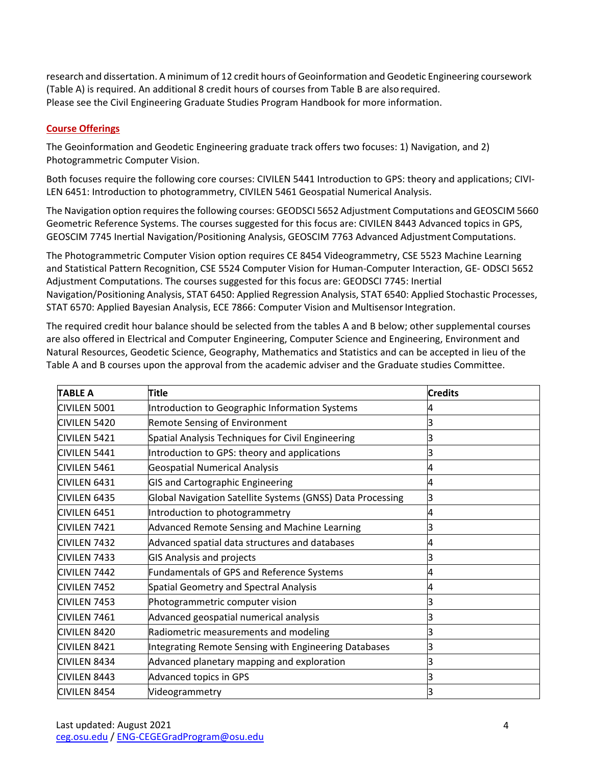research and dissertation. A minimum of 12 credit hours of Geoinformation and Geodetic Engineering coursework (Table A) is required. An additional 8 credit hours of courses from Table B are alsorequired. Please see the Civil Engineering Graduate Studies Program Handbook for more information.

## **Course Offerings**

The Geoinformation and Geodetic Engineering graduate track offers two focuses: 1) Navigation, and 2) Photogrammetric Computer Vision.

Both focuses require the following core courses: CIVILEN 5441 Introduction to GPS: theory and applications; CIVI-LEN 6451: Introduction to photogrammetry, CIVILEN 5461 Geospatial Numerical Analysis.

The Navigation option requiresthe following courses: GEODSCI 5652 Adjustment Computations and GEOSCIM 5660 Geometric Reference Systems. The courses suggested for this focus are: CIVILEN 8443 Advanced topics in GPS, GEOSCIM 7745 Inertial Navigation/Positioning Analysis, GEOSCIM 7763 Advanced AdjustmentComputations.

The Photogrammetric Computer Vision option requires CE 8454 Videogrammetry, CSE 5523 Machine Learning and Statistical Pattern Recognition, CSE 5524 Computer Vision for Human-Computer Interaction, GE- ODSCI 5652 Adjustment Computations. The courses suggested for this focus are: GEODSCI 7745: Inertial Navigation/Positioning Analysis, STAT 6450: Applied Regression Analysis, STAT 6540: Applied Stochastic Processes, STAT 6570: Applied Bayesian Analysis, ECE 7866: Computer Vision and Multisensor Integration.

The required credit hour balance should be selected from the tables A and B below; other supplemental courses are also offered in Electrical and Computer Engineering, Computer Science and Engineering, Environment and Natural Resources, Geodetic Science, Geography, Mathematics and Statistics and can be accepted in lieu of the Table A and B courses upon the approval from the academic adviser and the Graduate studies Committee.

| <b>TABLE A</b>          | Title                                                      | <b>Credits</b> |
|-------------------------|------------------------------------------------------------|----------------|
| <b>CIVILEN 5001</b>     | Introduction to Geographic Information Systems             |                |
| CIVILEN 5420            | <b>Remote Sensing of Environment</b>                       |                |
| <b>CIVILEN 5421</b>     | Spatial Analysis Techniques for Civil Engineering          |                |
| <b>CIVILEN 5441</b>     | Introduction to GPS: theory and applications               |                |
| <b>CIVILEN 5461</b>     | <b>Geospatial Numerical Analysis</b>                       | 4              |
| <b>CIVILEN 6431</b>     | <b>GIS and Cartographic Engineering</b>                    | 4              |
| <b>CIVILEN 6435</b>     | Global Navigation Satellite Systems (GNSS) Data Processing | З              |
| <b>CIVILEN 6451</b>     | Introduction to photogrammetry                             |                |
| CIVILEN <sub>7421</sub> | Advanced Remote Sensing and Machine Learning               |                |
| <b>CIVILEN 7432</b>     | Advanced spatial data structures and databases             | 4              |
| <b>CIVILEN 7433</b>     | <b>GIS Analysis and projects</b>                           |                |
| <b>CIVILEN 7442</b>     | Fundamentals of GPS and Reference Systems                  |                |
| <b>CIVILEN 7452</b>     | Spatial Geometry and Spectral Analysis                     |                |
| CIVILEN <sub>7453</sub> | Photogrammetric computer vision                            | З              |
| CIVILEN <sub>7461</sub> | Advanced geospatial numerical analysis                     |                |
| CIVILEN 8420            | Radiometric measurements and modeling                      |                |
| <b>CIVILEN 8421</b>     | Integrating Remote Sensing with Engineering Databases      |                |
| <b>CIVILEN 8434</b>     | Advanced planetary mapping and exploration                 |                |
| <b>CIVILEN 8443</b>     | <b>Advanced topics in GPS</b>                              |                |
| <b>CIVILEN 8454</b>     | Videogrammetry                                             |                |